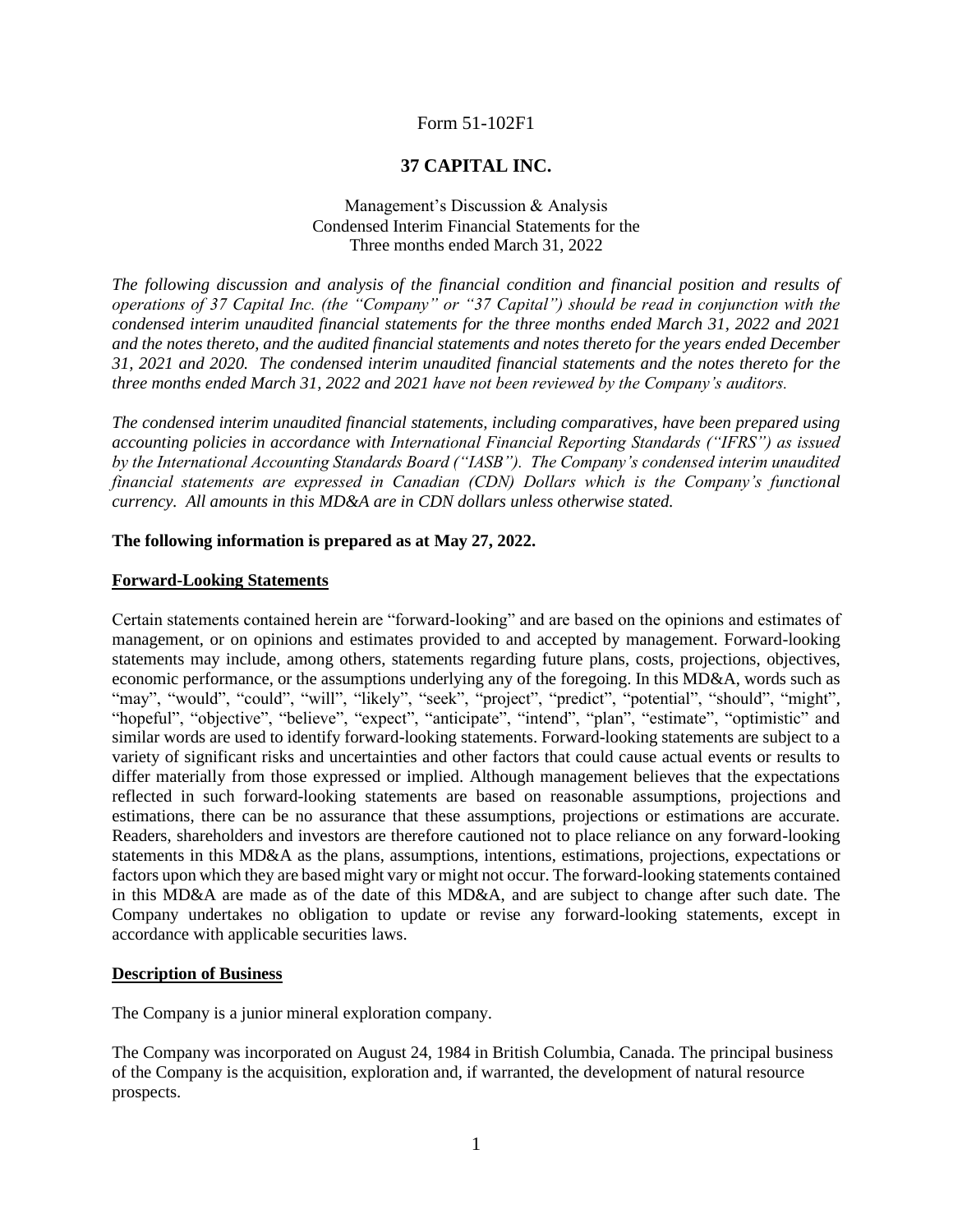# Form 51-102F1

# **37 CAPITAL INC.**

Management's Discussion & Analysis Condensed Interim Financial Statements for the Three months ended March 31, 2022

*The following discussion and analysis of the financial condition and financial position and results of operations of 37 Capital Inc. (the "Company" or "37 Capital") should be read in conjunction with the condensed interim unaudited financial statements for the three months ended March 31, 2022 and 2021 and the notes thereto, and the audited financial statements and notes thereto for the years ended December 31, 2021 and 2020. The condensed interim unaudited financial statements and the notes thereto for the three months ended March 31, 2022 and 2021 have not been reviewed by the Company's auditors.* 

*The condensed interim unaudited financial statements, including comparatives, have been prepared using accounting policies in accordance with International Financial Reporting Standards ("IFRS") as issued by the International Accounting Standards Board ("IASB"). The Company's condensed interim unaudited financial statements are expressed in Canadian (CDN) Dollars which is the Company's functional currency. All amounts in this MD&A are in CDN dollars unless otherwise stated.*

## **The following information is prepared as at May 27, 2022.**

#### **Forward-Looking Statements**

Certain statements contained herein are "forward-looking" and are based on the opinions and estimates of management, or on opinions and estimates provided to and accepted by management. Forward-looking statements may include, among others, statements regarding future plans, costs, projections, objectives, economic performance, or the assumptions underlying any of the foregoing. In this MD&A, words such as "may", "would", "could", "will", "likely", "seek", "project", "predict", "potential", "should", "might", "hopeful", "objective", "believe", "expect", "anticipate", "intend", "plan", "estimate", "optimistic" and similar words are used to identify forward-looking statements. Forward-looking statements are subject to a variety of significant risks and uncertainties and other factors that could cause actual events or results to differ materially from those expressed or implied. Although management believes that the expectations reflected in such forward-looking statements are based on reasonable assumptions, projections and estimations, there can be no assurance that these assumptions, projections or estimations are accurate. Readers, shareholders and investors are therefore cautioned not to place reliance on any forward-looking statements in this MD&A as the plans, assumptions, intentions, estimations, projections, expectations or factors upon which they are based might vary or might not occur. The forward-looking statements contained in this MD&A are made as of the date of this MD&A, and are subject to change after such date. The Company undertakes no obligation to update or revise any forward-looking statements, except in accordance with applicable securities laws.

## **Description of Business**

The Company is a junior mineral exploration company.

The Company was incorporated on August 24, 1984 in British Columbia, Canada. The principal business of the Company is the acquisition, exploration and, if warranted, the development of natural resource prospects.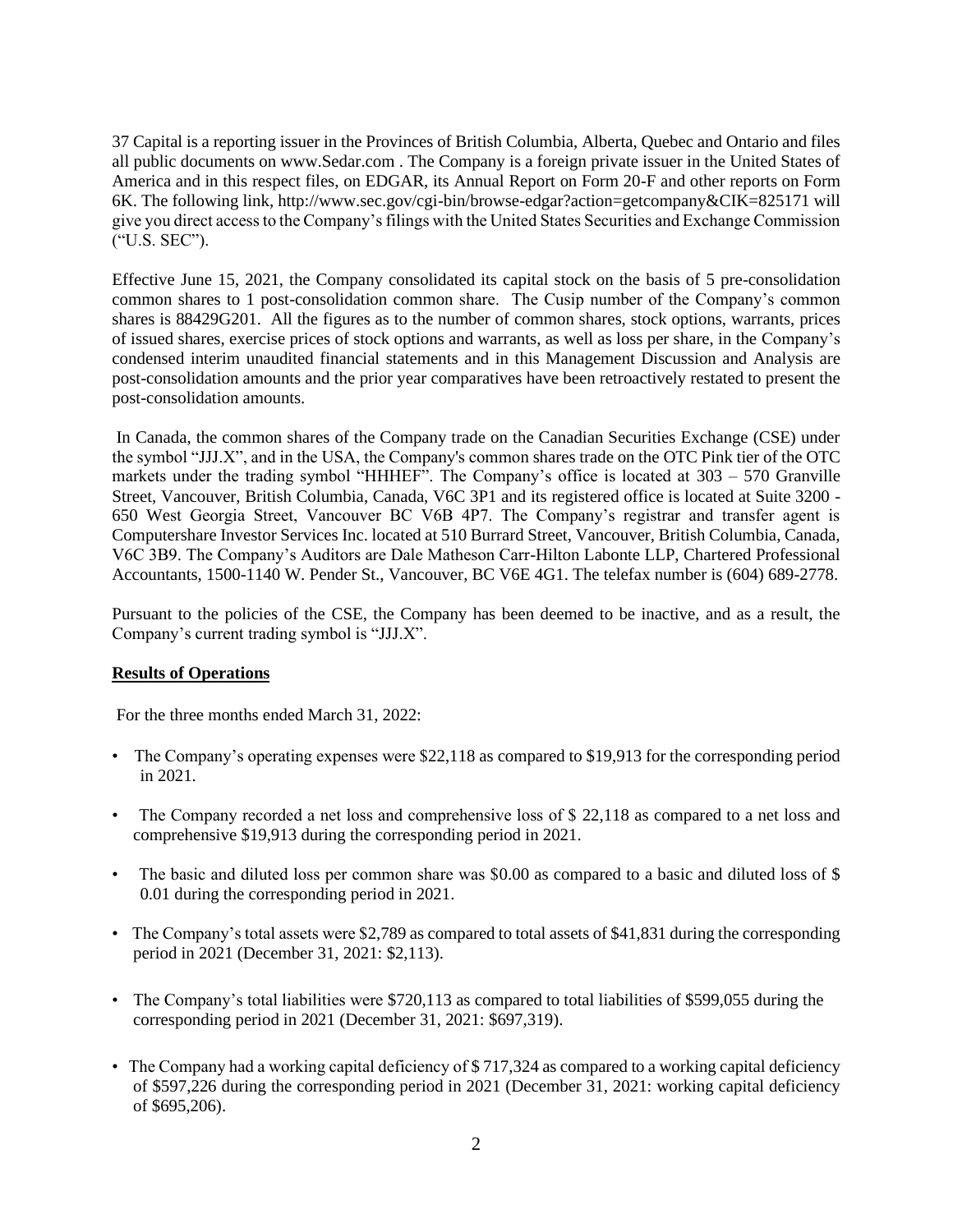37 Capital is a reporting issuer in the Provinces of British Columbia, Alberta, Quebec and Ontario and files all public documents on www.Sedar.com . The Company is a foreign private issuer in the United States of America and in this respect files, on EDGAR, its Annual Report on Form 20-F and other reports on Form 6K. The following link, http://www.sec.gov/cgi-bin/browse-edgar?action=getcompany&CIK=825171 will give you direct access to the Company's filings with the United States Securities and Exchange Commission ("U.S. SEC").

Effective June 15, 2021, the Company consolidated its capital stock on the basis of 5 pre-consolidation common shares to 1 post-consolidation common share. The Cusip number of the Company's common shares is 88429G201. All the figures as to the number of common shares, stock options, warrants, prices of issued shares, exercise prices of stock options and warrants, as well as loss per share, in the Company's condensed interim unaudited financial statements and in this Management Discussion and Analysis are post-consolidation amounts and the prior year comparatives have been retroactively restated to present the post-consolidation amounts.

In Canada, the common shares of the Company trade on the Canadian Securities Exchange (CSE) under the symbol "JJJ.X", and in the USA, the Company's common shares trade on the OTC Pink tier of the OTC markets under the trading symbol "HHHEF". The Company's office is located at 303 – 570 Granville Street, Vancouver, British Columbia, Canada, V6C 3P1 and its registered office is located at Suite 3200 - 650 West Georgia Street, Vancouver BC V6B 4P7. The Company's registrar and transfer agent is Computershare Investor Services Inc. located at 510 Burrard Street, Vancouver, British Columbia, Canada, V6C 3B9. The Company's Auditors are Dale Matheson Carr-Hilton Labonte LLP, Chartered Professional Accountants, 1500-1140 W. Pender St., Vancouver, BC V6E 4G1. The telefax number is (604) 689-2778.

Pursuant to the policies of the CSE, the Company has been deemed to be inactive, and as a result, the Company's current trading symbol is "JJJ.X".

## **Results of Operations**

For the three months ended March 31, 2022:

- The Company's operating expenses were \$22,118 as compared to \$19,913 for the corresponding period in 2021.
- The Company recorded a net loss and comprehensive loss of \$ 22,118 as compared to a net loss and comprehensive \$19,913 during the corresponding period in 2021.
- The basic and diluted loss per common share was \$0.00 as compared to a basic and diluted loss of \$ 0.01 during the corresponding period in 2021.
- The Company's total assets were \$2,789 as compared to total assets of \$41,831 during the corresponding period in 2021 (December 31, 2021: \$2,113).
- The Company's total liabilities were \$720,113 as compared to total liabilities of \$599,055 during the corresponding period in 2021 (December 31, 2021: \$697,319).
- The Company had a working capital deficiency of \$ 717,324 as compared to a working capital deficiency of \$597,226 during the corresponding period in 2021 (December 31, 2021: working capital deficiency of \$695,206).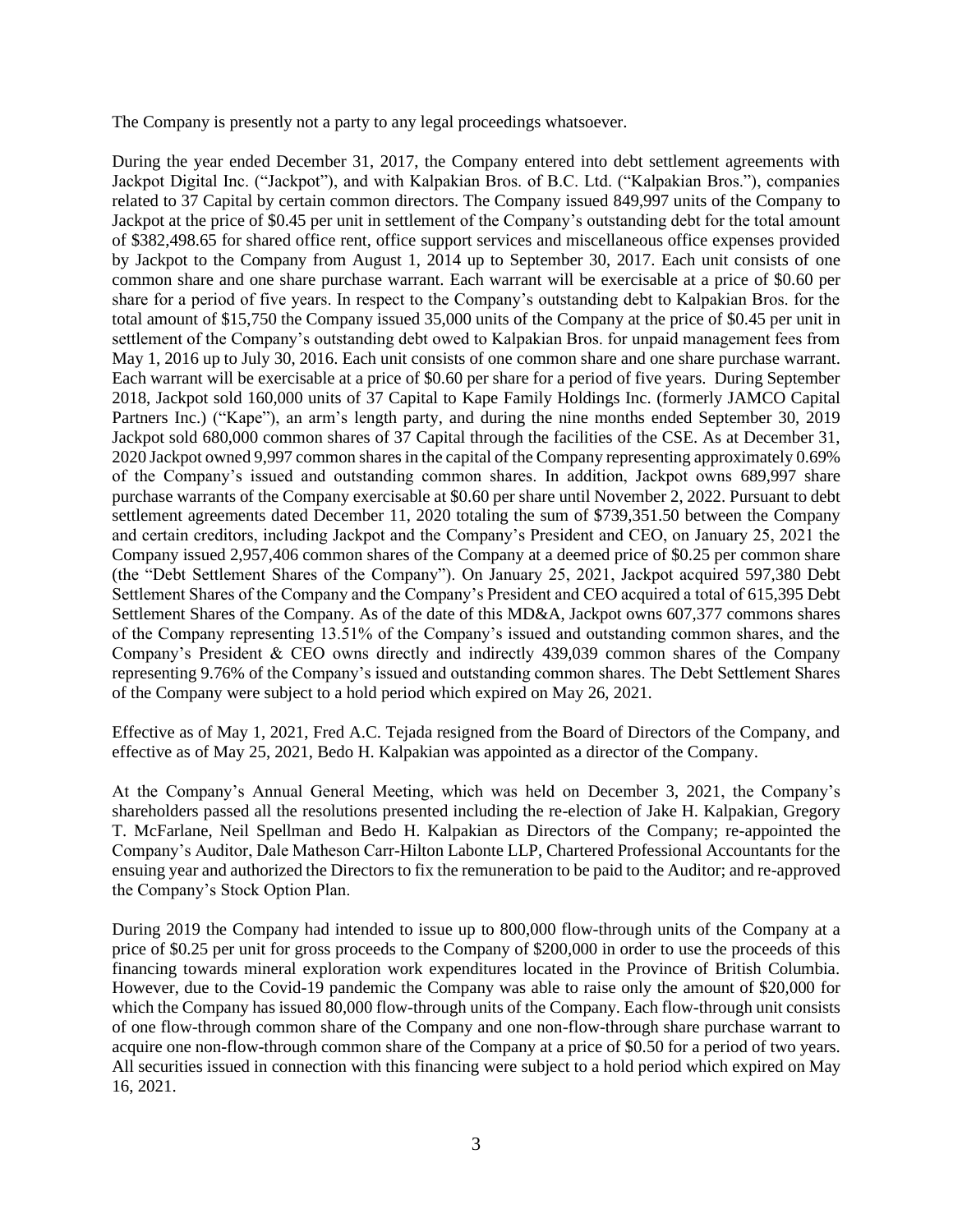The Company is presently not a party to any legal proceedings whatsoever.

During the year ended December 31, 2017, the Company entered into debt settlement agreements with Jackpot Digital Inc. ("Jackpot"), and with Kalpakian Bros. of B.C. Ltd. ("Kalpakian Bros."), companies related to 37 Capital by certain common directors. The Company issued 849,997 units of the Company to Jackpot at the price of \$0.45 per unit in settlement of the Company's outstanding debt for the total amount of \$382,498.65 for shared office rent, office support services and miscellaneous office expenses provided by Jackpot to the Company from August 1, 2014 up to September 30, 2017. Each unit consists of one common share and one share purchase warrant. Each warrant will be exercisable at a price of \$0.60 per share for a period of five years. In respect to the Company's outstanding debt to Kalpakian Bros. for the total amount of \$15,750 the Company issued 35,000 units of the Company at the price of \$0.45 per unit in settlement of the Company's outstanding debt owed to Kalpakian Bros. for unpaid management fees from May 1, 2016 up to July 30, 2016. Each unit consists of one common share and one share purchase warrant. Each warrant will be exercisable at a price of \$0.60 per share for a period of five years. During September 2018, Jackpot sold 160,000 units of 37 Capital to Kape Family Holdings Inc. (formerly JAMCO Capital Partners Inc.) ("Kape"), an arm's length party, and during the nine months ended September 30, 2019 Jackpot sold 680,000 common shares of 37 Capital through the facilities of the CSE. As at December 31, 2020 Jackpot owned 9,997 common shares in the capital of the Company representing approximately 0.69% of the Company's issued and outstanding common shares. In addition, Jackpot owns 689,997 share purchase warrants of the Company exercisable at \$0.60 per share until November 2, 2022. Pursuant to debt settlement agreements dated December 11, 2020 totaling the sum of \$739,351.50 between the Company and certain creditors, including Jackpot and the Company's President and CEO, on January 25, 2021 the Company issued 2,957,406 common shares of the Company at a deemed price of \$0.25 per common share (the "Debt Settlement Shares of the Company"). On January 25, 2021, Jackpot acquired 597,380 Debt Settlement Shares of the Company and the Company's President and CEO acquired a total of 615,395 Debt Settlement Shares of the Company. As of the date of this MD&A, Jackpot owns 607,377 commons shares of the Company representing 13.51% of the Company's issued and outstanding common shares, and the Company's President & CEO owns directly and indirectly 439,039 common shares of the Company representing 9.76% of the Company's issued and outstanding common shares. The Debt Settlement Shares of the Company were subject to a hold period which expired on May 26, 2021.

Effective as of May 1, 2021, Fred A.C. Tejada resigned from the Board of Directors of the Company, and effective as of May 25, 2021, Bedo H. Kalpakian was appointed as a director of the Company.

At the Company's Annual General Meeting, which was held on December 3, 2021, the Company's shareholders passed all the resolutions presented including the re-election of Jake H. Kalpakian, Gregory T. McFarlane, Neil Spellman and Bedo H. Kalpakian as Directors of the Company; re-appointed the Company's Auditor, Dale Matheson Carr-Hilton Labonte LLP, Chartered Professional Accountants for the ensuing year and authorized the Directors to fix the remuneration to be paid to the Auditor; and re-approved the Company's Stock Option Plan.

During 2019 the Company had intended to issue up to 800,000 flow-through units of the Company at a price of \$0.25 per unit for gross proceeds to the Company of \$200,000 in order to use the proceeds of this financing towards mineral exploration work expenditures located in the Province of British Columbia. However, due to the Covid-19 pandemic the Company was able to raise only the amount of \$20,000 for which the Company has issued 80,000 flow-through units of the Company. Each flow-through unit consists of one flow-through common share of the Company and one non-flow-through share purchase warrant to acquire one non-flow-through common share of the Company at a price of \$0.50 for a period of two years. All securities issued in connection with this financing were subject to a hold period which expired on May 16, 2021.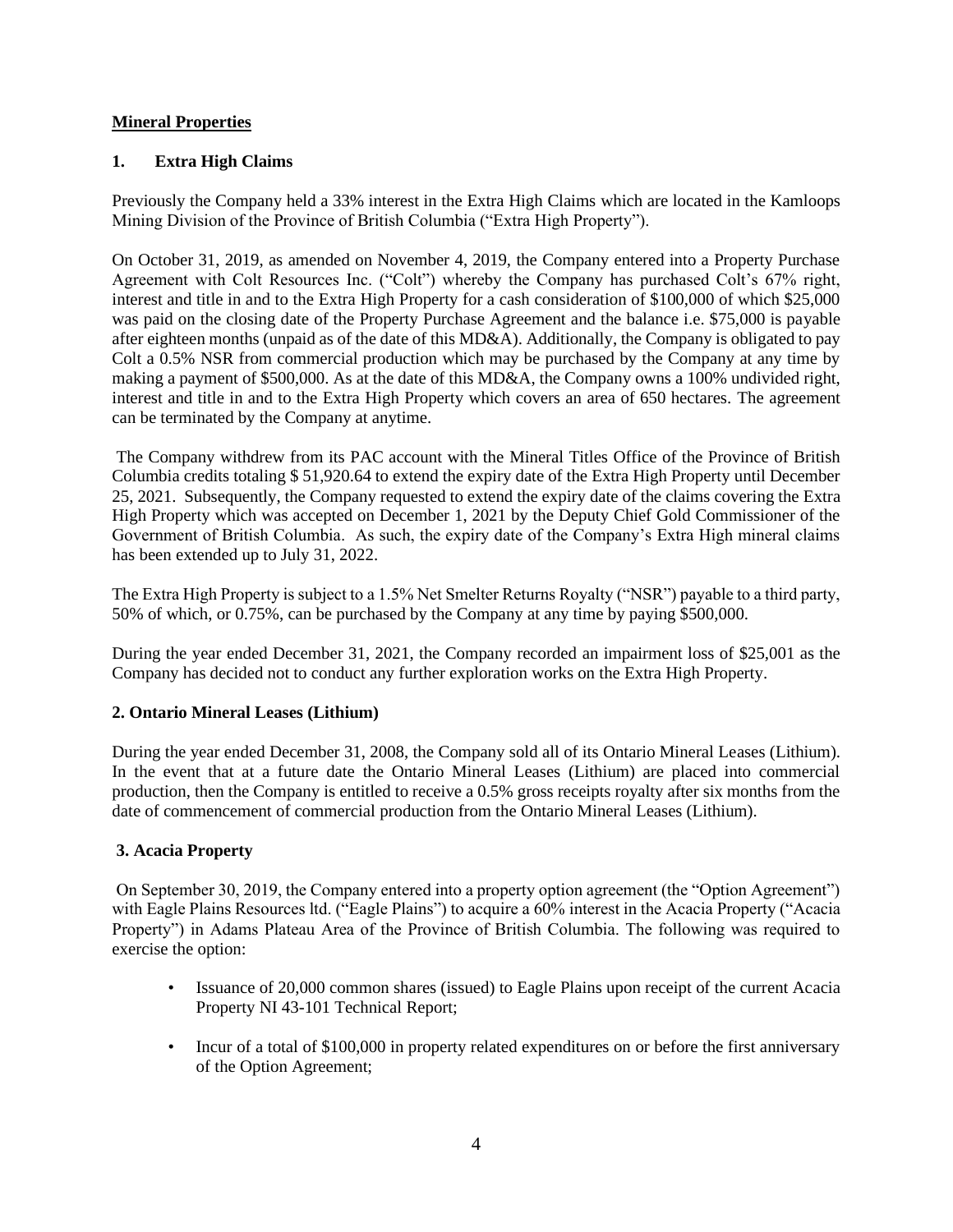# **Mineral Properties**

# **1. Extra High Claims**

Previously the Company held a 33% interest in the Extra High Claims which are located in the Kamloops Mining Division of the Province of British Columbia ("Extra High Property").

On October 31, 2019, as amended on November 4, 2019, the Company entered into a Property Purchase Agreement with Colt Resources Inc. ("Colt") whereby the Company has purchased Colt's 67% right, interest and title in and to the Extra High Property for a cash consideration of \$100,000 of which \$25,000 was paid on the closing date of the Property Purchase Agreement and the balance i.e. \$75,000 is payable after eighteen months (unpaid as of the date of this MD&A). Additionally, the Company is obligated to pay Colt a 0.5% NSR from commercial production which may be purchased by the Company at any time by making a payment of \$500,000. As at the date of this MD&A, the Company owns a 100% undivided right, interest and title in and to the Extra High Property which covers an area of 650 hectares. The agreement can be terminated by the Company at anytime.

The Company withdrew from its PAC account with the Mineral Titles Office of the Province of British Columbia credits totaling \$ 51,920.64 to extend the expiry date of the Extra High Property until December 25, 2021. Subsequently, the Company requested to extend the expiry date of the claims covering the Extra High Property which was accepted on December 1, 2021 by the Deputy Chief Gold Commissioner of the Government of British Columbia. As such, the expiry date of the Company's Extra High mineral claims has been extended up to July 31, 2022.

The Extra High Property is subject to a 1.5% Net Smelter Returns Royalty ("NSR") payable to a third party, 50% of which, or 0.75%, can be purchased by the Company at any time by paying \$500,000.

During the year ended December 31, 2021, the Company recorded an impairment loss of \$25,001 as the Company has decided not to conduct any further exploration works on the Extra High Property.

## **2. Ontario Mineral Leases (Lithium)**

During the year ended December 31, 2008, the Company sold all of its Ontario Mineral Leases (Lithium). In the event that at a future date the Ontario Mineral Leases (Lithium) are placed into commercial production, then the Company is entitled to receive a 0.5% gross receipts royalty after six months from the date of commencement of commercial production from the Ontario Mineral Leases (Lithium).

## **3. Acacia Property**

On September 30, 2019, the Company entered into a property option agreement (the "Option Agreement") with Eagle Plains Resources ltd. ("Eagle Plains") to acquire a 60% interest in the Acacia Property ("Acacia" Property") in Adams Plateau Area of the Province of British Columbia. The following was required to exercise the option:

- Issuance of 20,000 common shares (issued) to Eagle Plains upon receipt of the current Acacia Property NI 43-101 Technical Report;
- Incur of a total of \$100,000 in property related expenditures on or before the first anniversary of the Option Agreement;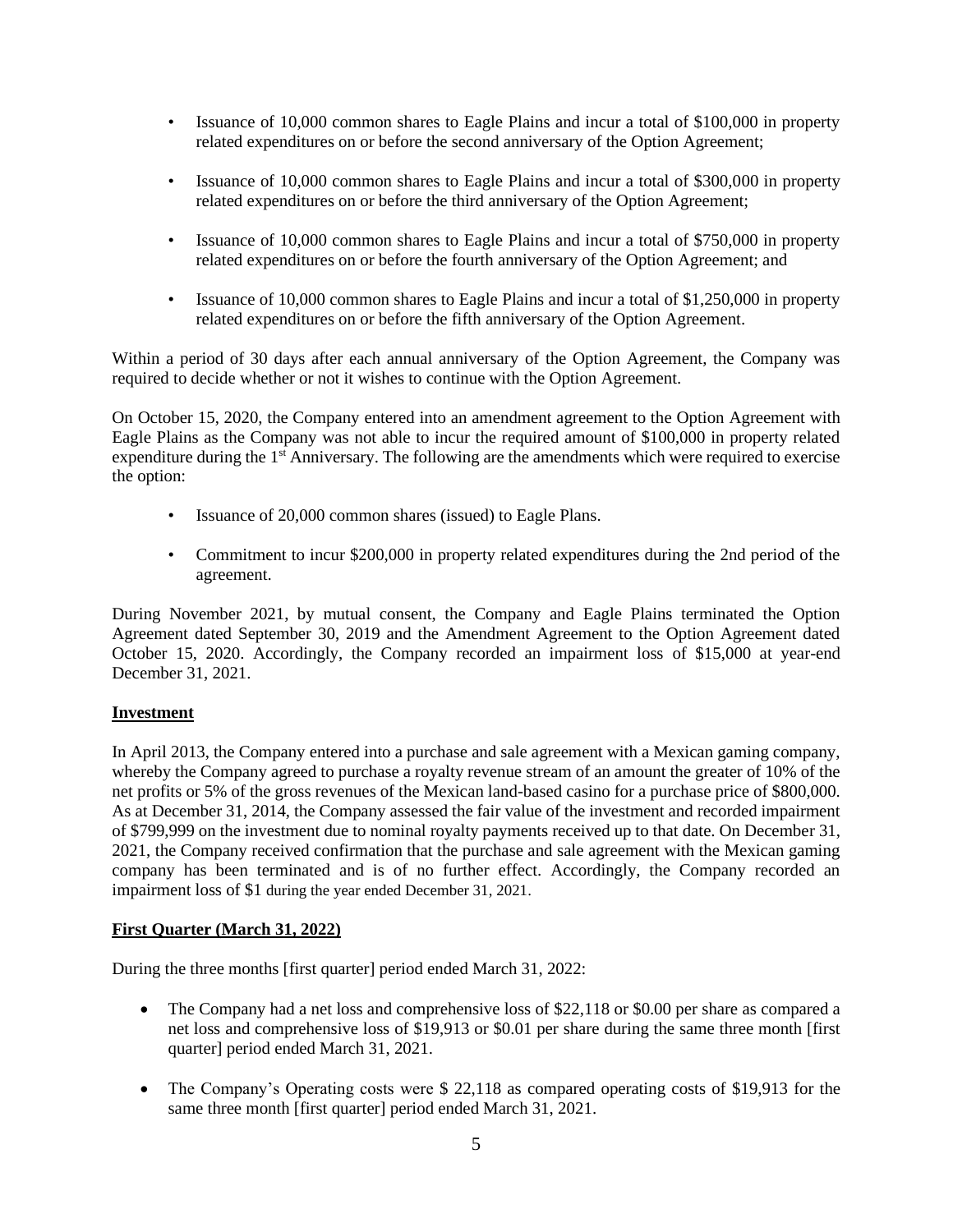- Issuance of 10,000 common shares to Eagle Plains and incur a total of \$100,000 in property related expenditures on or before the second anniversary of the Option Agreement;
- Issuance of 10,000 common shares to Eagle Plains and incur a total of \$300,000 in property related expenditures on or before the third anniversary of the Option Agreement;
- Issuance of 10,000 common shares to Eagle Plains and incur a total of \$750,000 in property related expenditures on or before the fourth anniversary of the Option Agreement; and
- Issuance of 10,000 common shares to Eagle Plains and incur a total of \$1,250,000 in property related expenditures on or before the fifth anniversary of the Option Agreement.

Within a period of 30 days after each annual anniversary of the Option Agreement, the Company was required to decide whether or not it wishes to continue with the Option Agreement.

On October 15, 2020, the Company entered into an amendment agreement to the Option Agreement with Eagle Plains as the Company was not able to incur the required amount of \$100,000 in property related expenditure during the 1<sup>st</sup> Anniversary. The following are the amendments which were required to exercise the option:

- Issuance of 20,000 common shares (issued) to Eagle Plans.
- Commitment to incur \$200,000 in property related expenditures during the 2nd period of the agreement.

During November 2021, by mutual consent, the Company and Eagle Plains terminated the Option Agreement dated September 30, 2019 and the Amendment Agreement to the Option Agreement dated October 15, 2020. Accordingly, the Company recorded an impairment loss of \$15,000 at year-end December 31, 2021.

## **Investment**

In April 2013, the Company entered into a purchase and sale agreement with a Mexican gaming company, whereby the Company agreed to purchase a royalty revenue stream of an amount the greater of 10% of the net profits or 5% of the gross revenues of the Mexican land-based casino for a purchase price of \$800,000. As at December 31, 2014, the Company assessed the fair value of the investment and recorded impairment of \$799,999 on the investment due to nominal royalty payments received up to that date. On December 31, 2021, the Company received confirmation that the purchase and sale agreement with the Mexican gaming company has been terminated and is of no further effect. Accordingly, the Company recorded an impairment loss of \$1 during the year ended December 31, 2021.

## **First Quarter (March 31, 2022)**

During the three months [first quarter] period ended March 31, 2022:

- The Company had a net loss and comprehensive loss of \$22,118 or \$0.00 per share as compared a net loss and comprehensive loss of \$19,913 or \$0.01 per share during the same three month [first quarter] period ended March 31, 2021.
- The Company's Operating costs were \$ 22,118 as compared operating costs of \$19,913 for the same three month [first quarter] period ended March 31, 2021.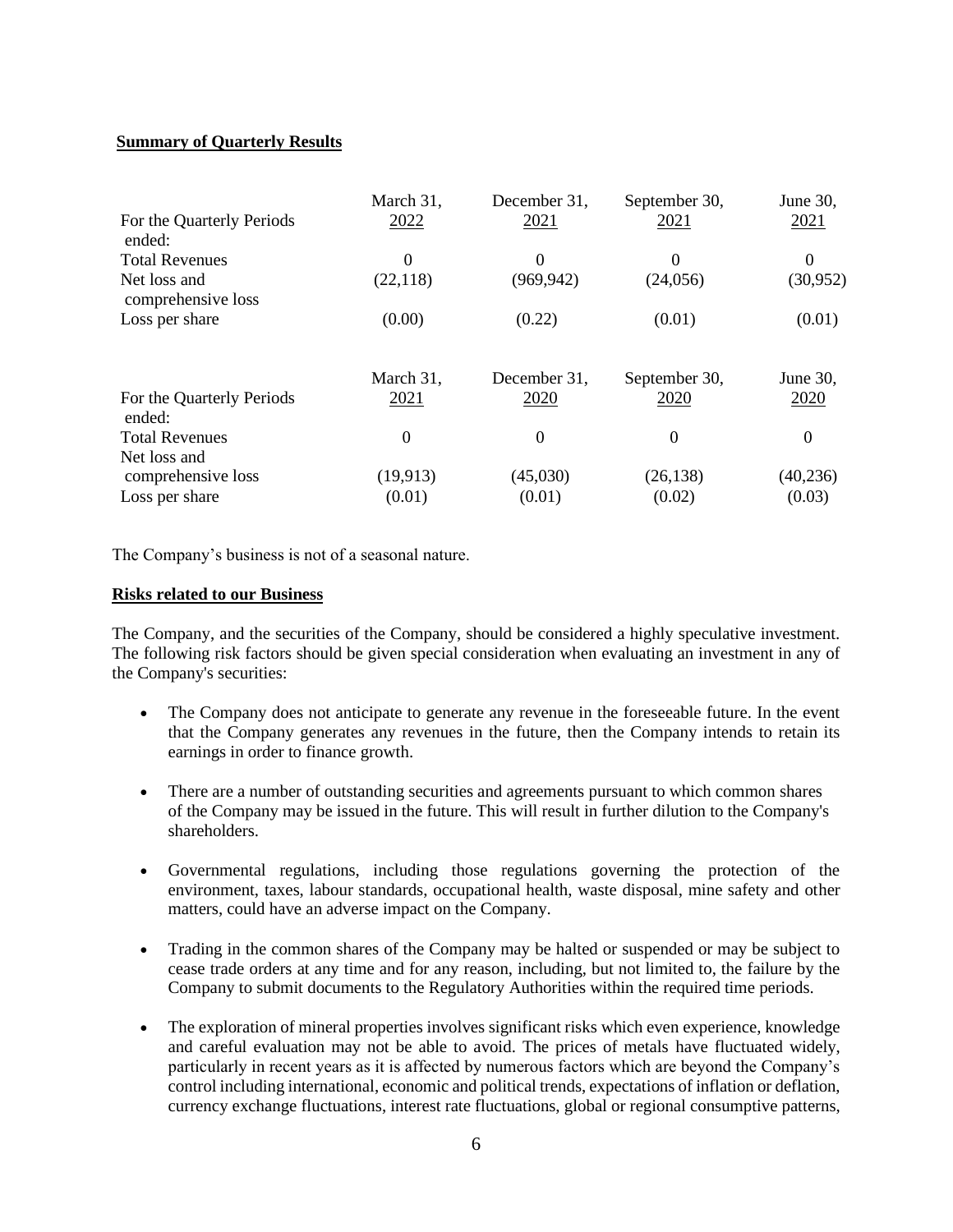# **Summary of Quarterly Results**

| For the Quarterly Periods<br>ended: | March 31,<br>2022 | December 31,<br>2021 | September 30,<br>2021 | June 30,<br>2021 |
|-------------------------------------|-------------------|----------------------|-----------------------|------------------|
| <b>Total Revenues</b>               | $\Omega$          | $\Omega$             | $\Omega$              | $\theta$         |
| Net loss and<br>comprehensive loss  | (22, 118)         | (969, 942)           | (24,056)              | (30, 952)        |
| Loss per share                      | (0.00)            | (0.22)               | (0.01)                | (0.01)           |
|                                     | March 31,         | December 31,         | September 30,         | June 30,         |
| For the Quarterly Periods<br>ended: | 2021              | 2020                 | 2020                  | 2020             |
| <b>Total Revenues</b>               | $\overline{0}$    | $\Omega$             | $\theta$              | $\theta$         |
| Net loss and<br>comprehensive loss  | (19,913)          | (45,030)             | (26, 138)             | (40, 236)        |
| Loss per share                      | (0.01)            | (0.01)               | (0.02)                | (0.03)           |

The Company's business is not of a seasonal nature.

#### **Risks related to our Business**

The Company, and the securities of the Company, should be considered a highly speculative investment. The following risk factors should be given special consideration when evaluating an investment in any of the Company's securities:

- The Company does not anticipate to generate any revenue in the foreseeable future. In the event that the Company generates any revenues in the future, then the Company intends to retain its earnings in order to finance growth.
- There are a number of outstanding securities and agreements pursuant to which common shares of the Company may be issued in the future. This will result in further dilution to the Company's shareholders.
- Governmental regulations, including those regulations governing the protection of the environment, taxes, labour standards, occupational health, waste disposal, mine safety and other matters, could have an adverse impact on the Company.
- Trading in the common shares of the Company may be halted or suspended or may be subject to cease trade orders at any time and for any reason, including, but not limited to, the failure by the Company to submit documents to the Regulatory Authorities within the required time periods.
- The exploration of mineral properties involves significant risks which even experience, knowledge and careful evaluation may not be able to avoid. The prices of metals have fluctuated widely, particularly in recent years as it is affected by numerous factors which are beyond the Company's control including international, economic and political trends, expectations of inflation or deflation, currency exchange fluctuations, interest rate fluctuations, global or regional consumptive patterns,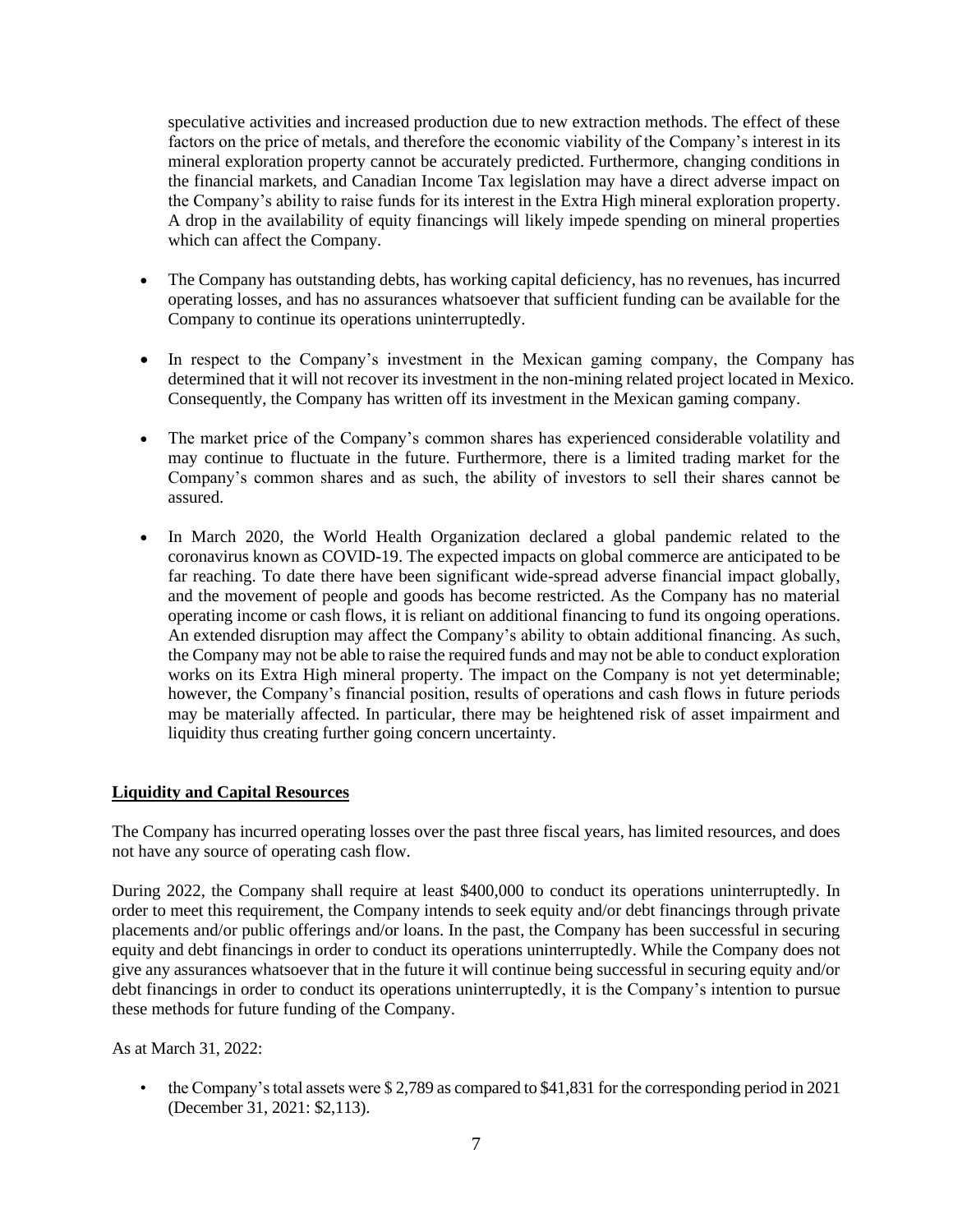speculative activities and increased production due to new extraction methods. The effect of these factors on the price of metals, and therefore the economic viability of the Company's interest in its mineral exploration property cannot be accurately predicted. Furthermore, changing conditions in the financial markets, and Canadian Income Tax legislation may have a direct adverse impact on the Company's ability to raise funds for its interest in the Extra High mineral exploration property. A drop in the availability of equity financings will likely impede spending on mineral properties which can affect the Company.

- The Company has outstanding debts, has working capital deficiency, has no revenues, has incurred operating losses, and has no assurances whatsoever that sufficient funding can be available for the Company to continue its operations uninterruptedly.
- In respect to the Company's investment in the Mexican gaming company, the Company has determined that it will not recover its investment in the non-mining related project located in Mexico. Consequently, the Company has written off its investment in the Mexican gaming company.
- The market price of the Company's common shares has experienced considerable volatility and may continue to fluctuate in the future. Furthermore, there is a limited trading market for the Company's common shares and as such, the ability of investors to sell their shares cannot be assured.
- In March 2020, the World Health Organization declared a global pandemic related to the coronavirus known as COVID-19. The expected impacts on global commerce are anticipated to be far reaching. To date there have been significant wide-spread adverse financial impact globally, and the movement of people and goods has become restricted. As the Company has no material operating income or cash flows, it is reliant on additional financing to fund its ongoing operations. An extended disruption may affect the Company's ability to obtain additional financing. As such, the Company may not be able to raise the required funds and may not be able to conduct exploration works on its Extra High mineral property. The impact on the Company is not yet determinable; however, the Company's financial position, results of operations and cash flows in future periods may be materially affected. In particular, there may be heightened risk of asset impairment and liquidity thus creating further going concern uncertainty.

# **Liquidity and Capital Resources**

The Company has incurred operating losses over the past three fiscal years, has limited resources, and does not have any source of operating cash flow.

During 2022, the Company shall require at least \$400,000 to conduct its operations uninterruptedly. In order to meet this requirement, the Company intends to seek equity and/or debt financings through private placements and/or public offerings and/or loans. In the past, the Company has been successful in securing equity and debt financings in order to conduct its operations uninterruptedly. While the Company does not give any assurances whatsoever that in the future it will continue being successful in securing equity and/or debt financings in order to conduct its operations uninterruptedly, it is the Company's intention to pursue these methods for future funding of the Company.

As at March 31, 2022:

• the Company's total assets were \$2,789 as compared to \$41,831 for the corresponding period in 2021 (December 31, 2021: \$2,113).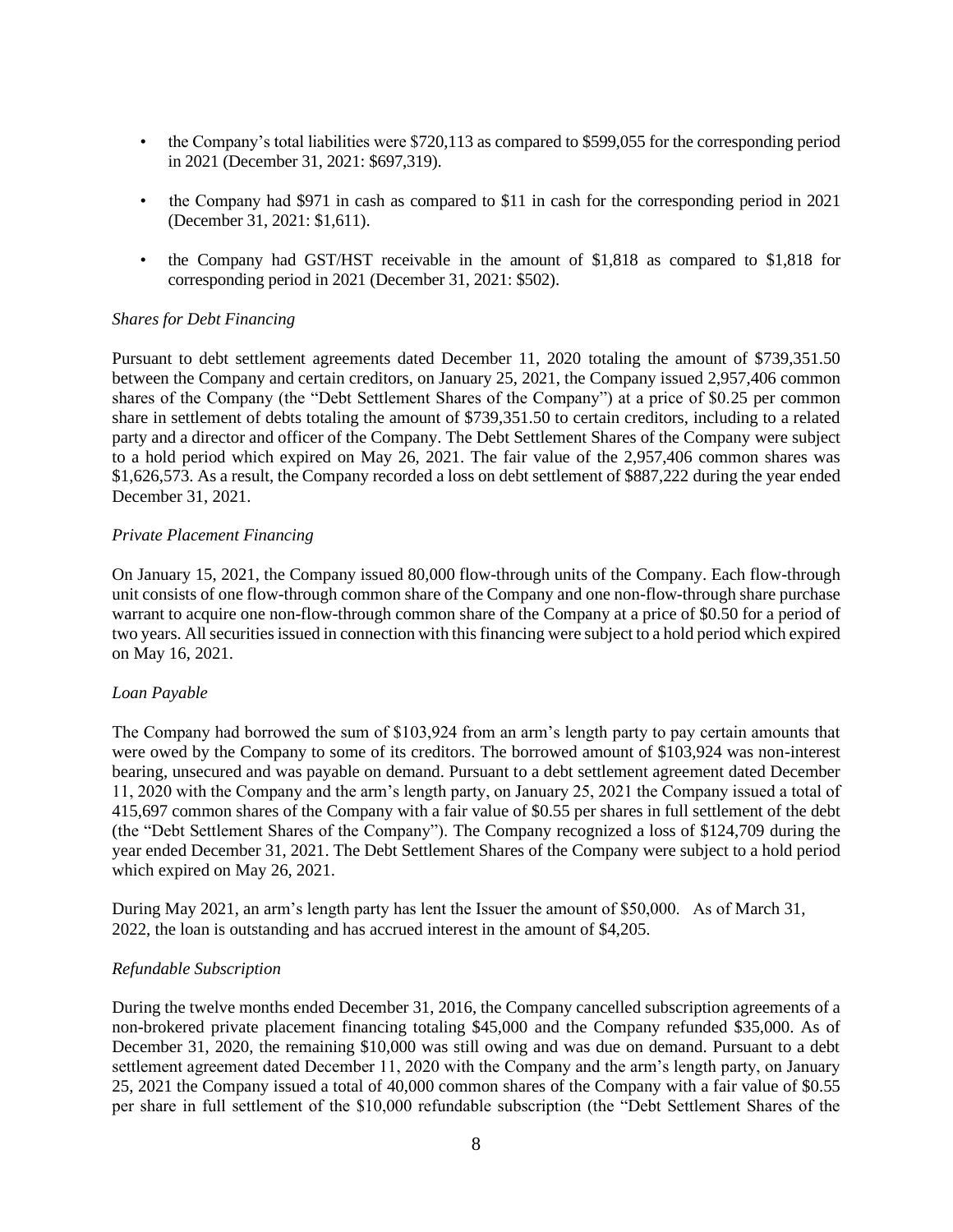- the Company's total liabilities were \$720,113 as compared to \$599,055 for the corresponding period in 2021 (December 31, 2021: \$697,319).
- the Company had \$971 in cash as compared to \$11 in cash for the corresponding period in 2021 (December 31, 2021: \$1,611).
- the Company had GST/HST receivable in the amount of \$1,818 as compared to \$1,818 for corresponding period in 2021 (December 31, 2021: \$502).

#### *Shares for Debt Financing*

Pursuant to debt settlement agreements dated December 11, 2020 totaling the amount of \$739,351.50 between the Company and certain creditors, on January 25, 2021, the Company issued 2,957,406 common shares of the Company (the "Debt Settlement Shares of the Company") at a price of \$0.25 per common share in settlement of debts totaling the amount of \$739,351.50 to certain creditors, including to a related party and a director and officer of the Company. The Debt Settlement Shares of the Company were subject to a hold period which expired on May 26, 2021. The fair value of the 2,957,406 common shares was \$1,626,573. As a result, the Company recorded a loss on debt settlement of \$887,222 during the year ended December 31, 2021.

#### *Private Placement Financing*

On January 15, 2021, the Company issued 80,000 flow-through units of the Company. Each flow-through unit consists of one flow-through common share of the Company and one non-flow-through share purchase warrant to acquire one non-flow-through common share of the Company at a price of \$0.50 for a period of two years. All securities issued in connection with this financing were subject to a hold period which expired on May 16, 2021.

## *Loan Payable*

The Company had borrowed the sum of \$103,924 from an arm's length party to pay certain amounts that were owed by the Company to some of its creditors. The borrowed amount of \$103,924 was non-interest bearing, unsecured and was payable on demand. Pursuant to a debt settlement agreement dated December 11, 2020 with the Company and the arm's length party, on January 25, 2021 the Company issued a total of 415,697 common shares of the Company with a fair value of \$0.55 per shares in full settlement of the debt (the "Debt Settlement Shares of the Company"). The Company recognized a loss of \$124,709 during the year ended December 31, 2021. The Debt Settlement Shares of the Company were subject to a hold period which expired on May 26, 2021.

During May 2021, an arm's length party has lent the Issuer the amount of \$50,000. As of March 31, 2022, the loan is outstanding and has accrued interest in the amount of \$4,205.

#### *Refundable Subscription*

During the twelve months ended December 31, 2016, the Company cancelled subscription agreements of a non-brokered private placement financing totaling \$45,000 and the Company refunded \$35,000. As of December 31, 2020, the remaining \$10,000 was still owing and was due on demand. Pursuant to a debt settlement agreement dated December 11, 2020 with the Company and the arm's length party, on January 25, 2021 the Company issued a total of 40,000 common shares of the Company with a fair value of \$0.55 per share in full settlement of the \$10,000 refundable subscription (the "Debt Settlement Shares of the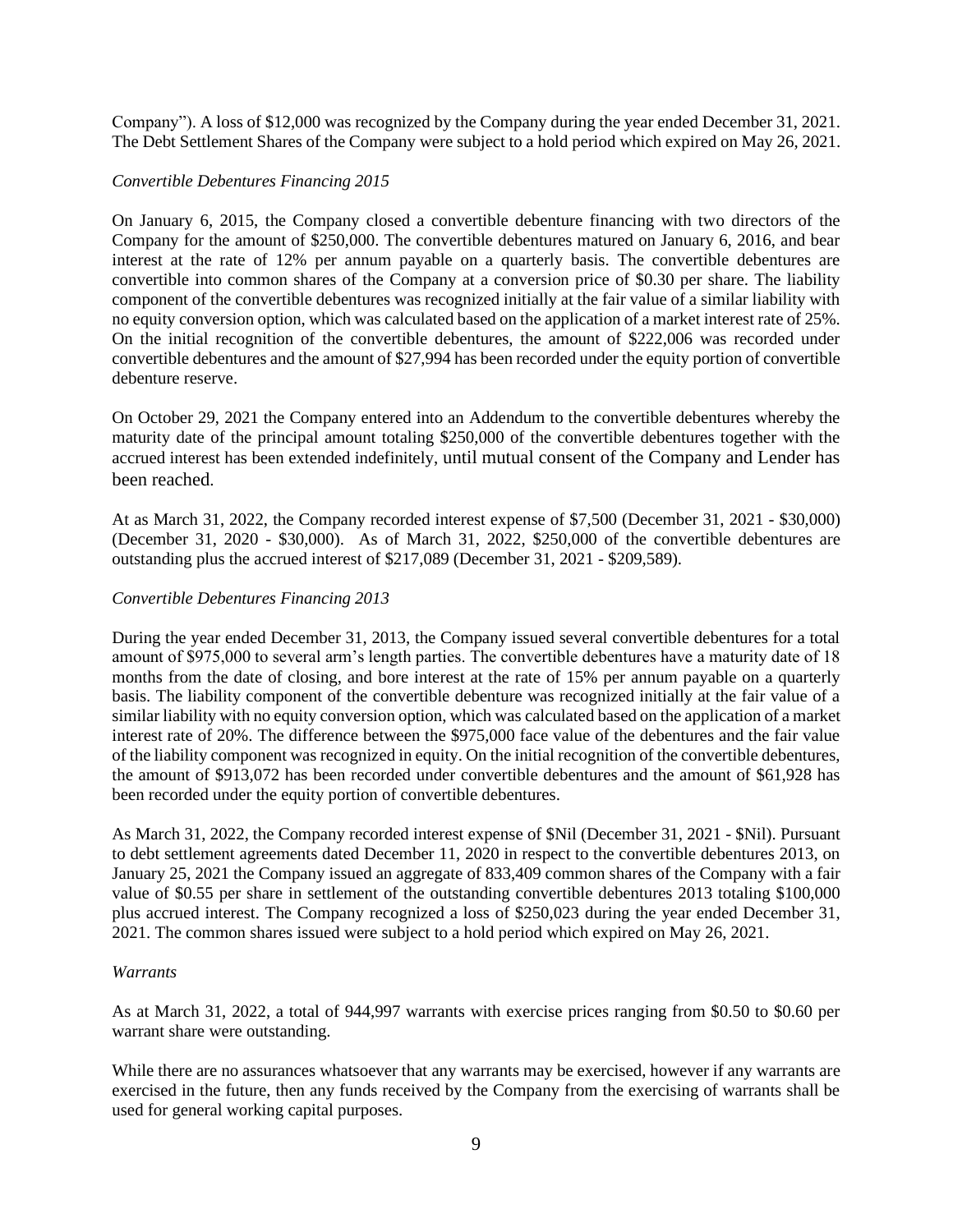Company"). A loss of \$12,000 was recognized by the Company during the year ended December 31, 2021. The Debt Settlement Shares of the Company were subject to a hold period which expired on May 26, 2021.

#### *Convertible Debentures Financing 2015*

On January 6, 2015, the Company closed a convertible debenture financing with two directors of the Company for the amount of \$250,000. The convertible debentures matured on January 6, 2016, and bear interest at the rate of 12% per annum payable on a quarterly basis. The convertible debentures are convertible into common shares of the Company at a conversion price of \$0.30 per share. The liability component of the convertible debentures was recognized initially at the fair value of a similar liability with no equity conversion option, which was calculated based on the application of a market interest rate of 25%. On the initial recognition of the convertible debentures, the amount of \$222,006 was recorded under convertible debentures and the amount of \$27,994 has been recorded under the equity portion of convertible debenture reserve.

On October 29, 2021 the Company entered into an Addendum to the convertible debentures whereby the maturity date of the principal amount totaling \$250,000 of the convertible debentures together with the accrued interest has been extended indefinitely, until mutual consent of the Company and Lender has been reached.

At as March 31, 2022, the Company recorded interest expense of \$7,500 (December 31, 2021 - \$30,000) (December 31, 2020 - \$30,000). As of March 31, 2022, \$250,000 of the convertible debentures are outstanding plus the accrued interest of \$217,089 (December 31, 2021 - \$209,589).

## *Convertible Debentures Financing 2013*

During the year ended December 31, 2013, the Company issued several convertible debentures for a total amount of \$975,000 to several arm's length parties. The convertible debentures have a maturity date of 18 months from the date of closing, and bore interest at the rate of 15% per annum payable on a quarterly basis. The liability component of the convertible debenture was recognized initially at the fair value of a similar liability with no equity conversion option, which was calculated based on the application of a market interest rate of 20%. The difference between the \$975,000 face value of the debentures and the fair value of the liability component was recognized in equity. On the initial recognition of the convertible debentures, the amount of \$913,072 has been recorded under convertible debentures and the amount of \$61,928 has been recorded under the equity portion of convertible debentures.

As March 31, 2022, the Company recorded interest expense of \$Nil (December 31, 2021 - \$Nil). Pursuant to debt settlement agreements dated December 11, 2020 in respect to the convertible debentures 2013, on January 25, 2021 the Company issued an aggregate of 833,409 common shares of the Company with a fair value of \$0.55 per share in settlement of the outstanding convertible debentures 2013 totaling \$100,000 plus accrued interest. The Company recognized a loss of \$250,023 during the year ended December 31, 2021. The common shares issued were subject to a hold period which expired on May 26, 2021.

#### *Warrants*

As at March 31, 2022, a total of 944,997 warrants with exercise prices ranging from \$0.50 to \$0.60 per warrant share were outstanding.

While there are no assurances whatsoever that any warrants may be exercised, however if any warrants are exercised in the future, then any funds received by the Company from the exercising of warrants shall be used for general working capital purposes.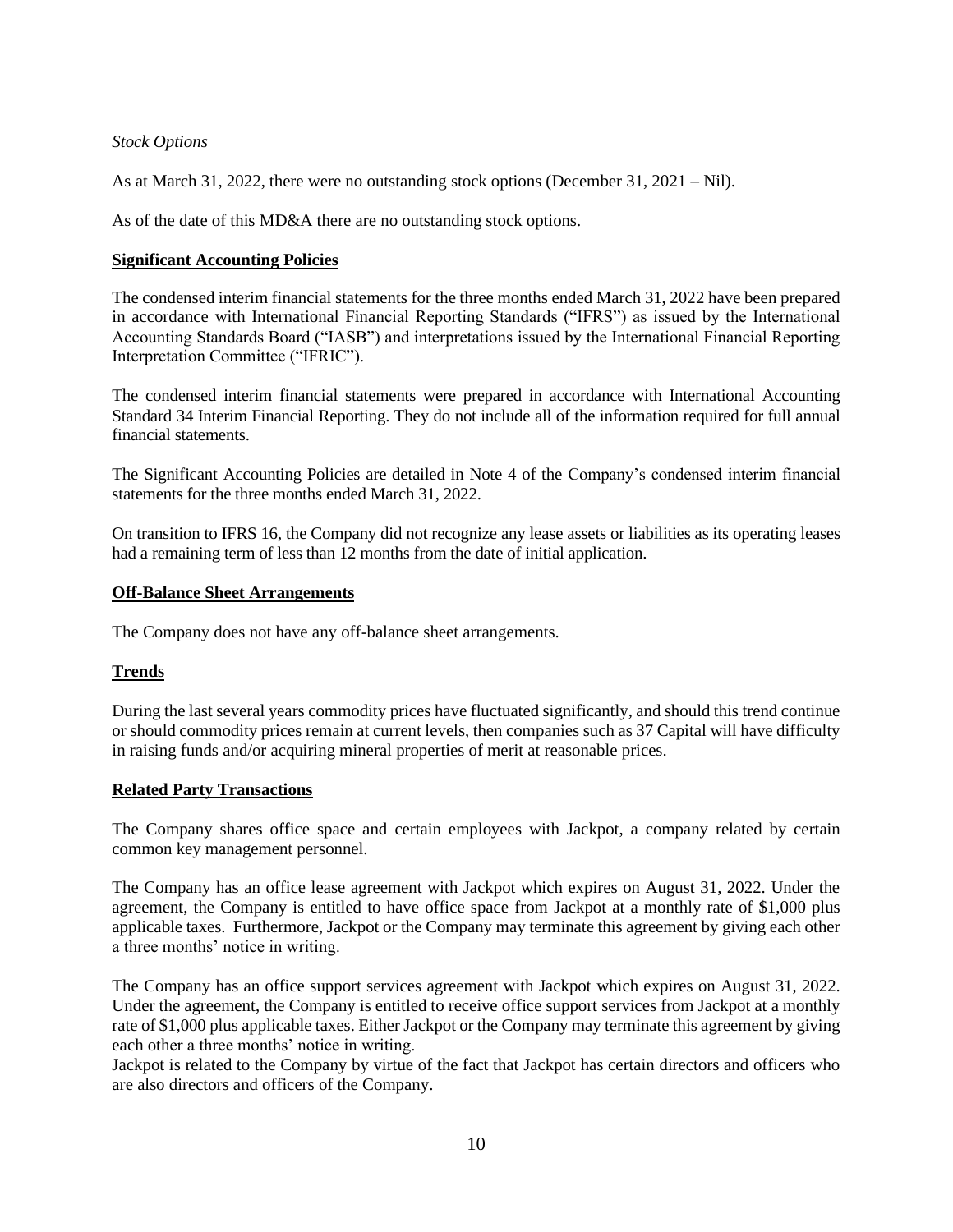## *Stock Options*

As at March 31, 2022, there were no outstanding stock options (December 31, 2021 – Nil).

As of the date of this MD&A there are no outstanding stock options.

#### **Significant Accounting Policies**

The condensed interim financial statements for the three months ended March 31, 2022 have been prepared in accordance with International Financial Reporting Standards ("IFRS") as issued by the International Accounting Standards Board ("IASB") and interpretations issued by the International Financial Reporting Interpretation Committee ("IFRIC").

The condensed interim financial statements were prepared in accordance with International Accounting Standard 34 Interim Financial Reporting. They do not include all of the information required for full annual financial statements.

The Significant Accounting Policies are detailed in Note 4 of the Company's condensed interim financial statements for the three months ended March 31, 2022.

On transition to IFRS 16, the Company did not recognize any lease assets or liabilities as its operating leases had a remaining term of less than 12 months from the date of initial application.

#### **Off-Balance Sheet Arrangements**

The Company does not have any off-balance sheet arrangements.

## **Trends**

During the last several years commodity prices have fluctuated significantly, and should this trend continue or should commodity prices remain at current levels, then companies such as 37 Capital will have difficulty in raising funds and/or acquiring mineral properties of merit at reasonable prices.

#### **Related Party Transactions**

The Company shares office space and certain employees with Jackpot, a company related by certain common key management personnel.

The Company has an office lease agreement with Jackpot which expires on August 31, 2022. Under the agreement, the Company is entitled to have office space from Jackpot at a monthly rate of \$1,000 plus applicable taxes. Furthermore, Jackpot or the Company may terminate this agreement by giving each other a three months' notice in writing.

The Company has an office support services agreement with Jackpot which expires on August 31, 2022. Under the agreement, the Company is entitled to receive office support services from Jackpot at a monthly rate of \$1,000 plus applicable taxes. Either Jackpot or the Company may terminate this agreement by giving each other a three months' notice in writing.

Jackpot is related to the Company by virtue of the fact that Jackpot has certain directors and officers who are also directors and officers of the Company.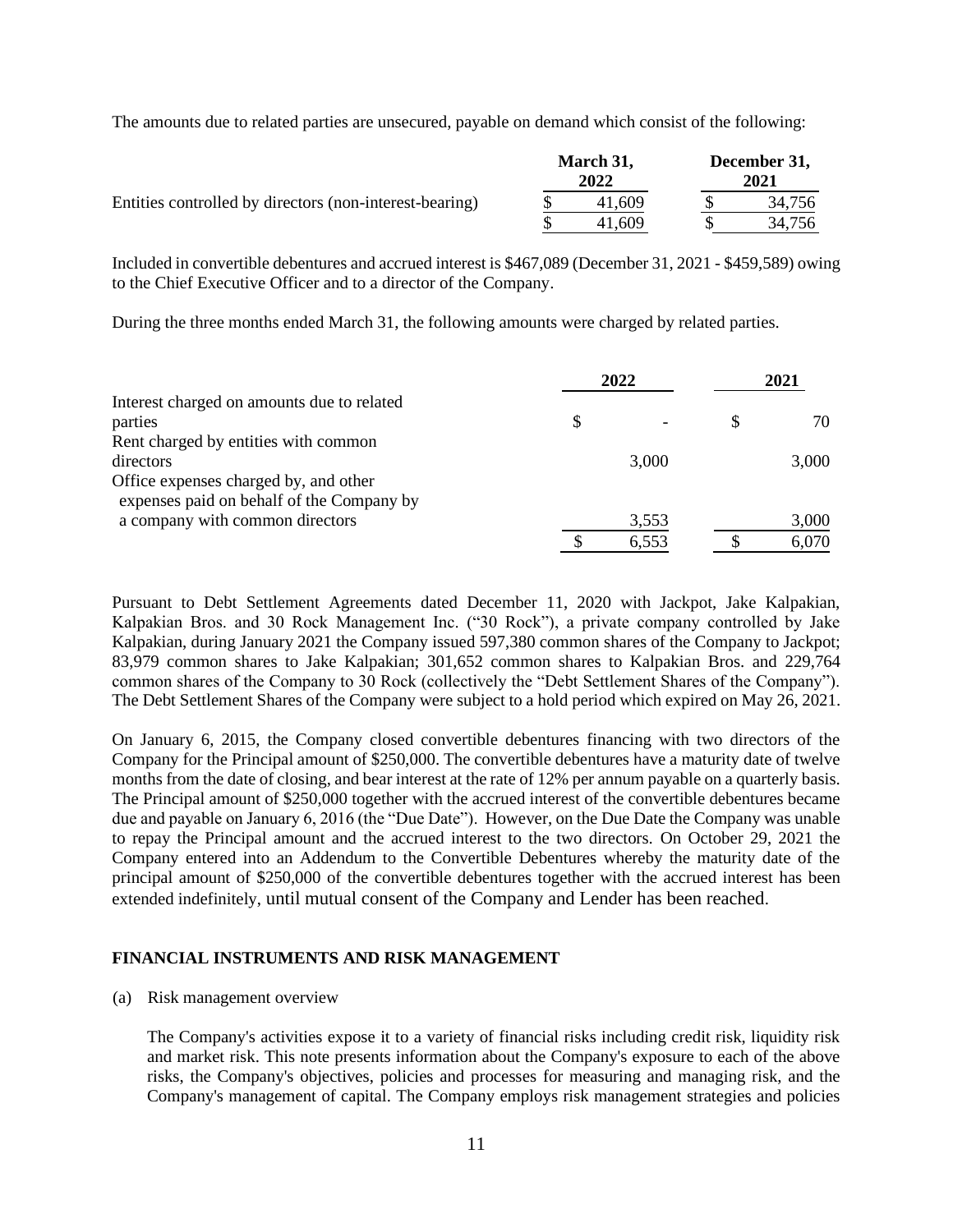The amounts due to related parties are unsecured, payable on demand which consist of the following:

|                                                         | March 31,<br>2022 |        | December 31,<br>2021 |        |
|---------------------------------------------------------|-------------------|--------|----------------------|--------|
| Entities controlled by directors (non-interest-bearing) |                   | 41.609 |                      | 34.756 |
|                                                         |                   | 41.609 |                      | 34.756 |

Included in convertible debentures and accrued interest is \$467,089 (December 31, 2021 - \$459,589) owing to the Chief Executive Officer and to a director of the Company.

During the three months ended March 31, the following amounts were charged by related parties.

|                                            |   | 2022  |   | 2021  |
|--------------------------------------------|---|-------|---|-------|
| Interest charged on amounts due to related |   |       |   |       |
| parties                                    | S |       | S | 70    |
| Rent charged by entities with common       |   |       |   |       |
| directors                                  |   | 3,000 |   | 3,000 |
| Office expenses charged by, and other      |   |       |   |       |
| expenses paid on behalf of the Company by  |   |       |   |       |
| a company with common directors            |   | 3,553 |   | 3,000 |
|                                            |   | 6,553 |   | 6,070 |

Pursuant to Debt Settlement Agreements dated December 11, 2020 with Jackpot, Jake Kalpakian, Kalpakian Bros. and 30 Rock Management Inc. ("30 Rock"), a private company controlled by Jake Kalpakian, during January 2021 the Company issued 597,380 common shares of the Company to Jackpot; 83,979 common shares to Jake Kalpakian; 301,652 common shares to Kalpakian Bros. and 229,764 common shares of the Company to 30 Rock (collectively the "Debt Settlement Shares of the Company"). The Debt Settlement Shares of the Company were subject to a hold period which expired on May 26, 2021.

On January 6, 2015, the Company closed convertible debentures financing with two directors of the Company for the Principal amount of \$250,000. The convertible debentures have a maturity date of twelve months from the date of closing, and bear interest at the rate of 12% per annum payable on a quarterly basis. The Principal amount of \$250,000 together with the accrued interest of the convertible debentures became due and payable on January 6, 2016 (the "Due Date"). However, on the Due Date the Company was unable to repay the Principal amount and the accrued interest to the two directors. On October 29, 2021 the Company entered into an Addendum to the Convertible Debentures whereby the maturity date of the principal amount of \$250,000 of the convertible debentures together with the accrued interest has been extended indefinitely, until mutual consent of the Company and Lender has been reached.

## **FINANCIAL INSTRUMENTS AND RISK MANAGEMENT**

(a) Risk management overview

The Company's activities expose it to a variety of financial risks including credit risk, liquidity risk and market risk. This note presents information about the Company's exposure to each of the above risks, the Company's objectives, policies and processes for measuring and managing risk, and the Company's management of capital. The Company employs risk management strategies and policies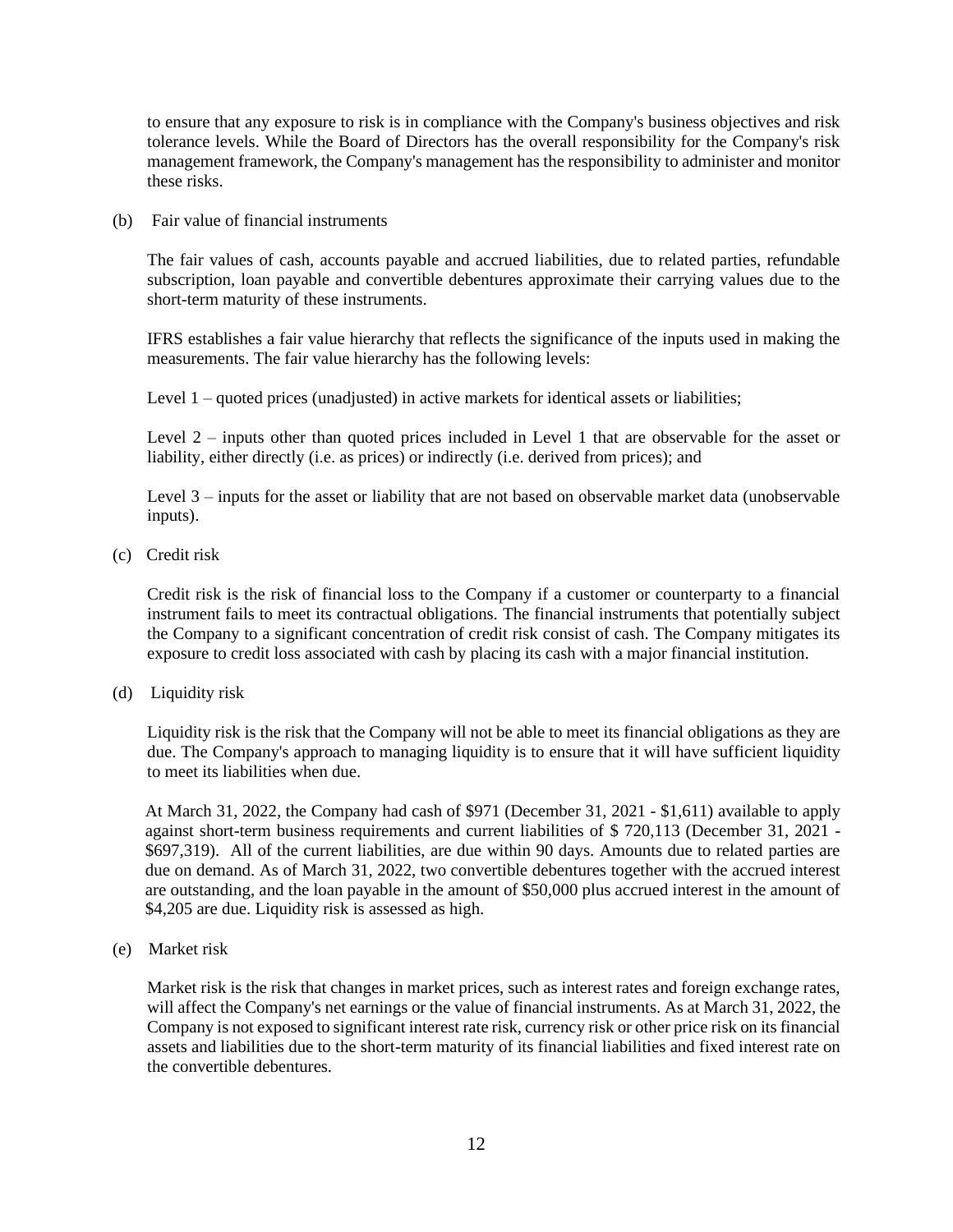to ensure that any exposure to risk is in compliance with the Company's business objectives and risk tolerance levels. While the Board of Directors has the overall responsibility for the Company's risk management framework, the Company's management has the responsibility to administer and monitor these risks.

(b) Fair value of financial instruments

The fair values of cash, accounts payable and accrued liabilities, due to related parties, refundable subscription, loan payable and convertible debentures approximate their carrying values due to the short-term maturity of these instruments.

IFRS establishes a fair value hierarchy that reflects the significance of the inputs used in making the measurements. The fair value hierarchy has the following levels:

Level 1 – quoted prices (unadjusted) in active markets for identical assets or liabilities;

Level 2 – inputs other than quoted prices included in Level 1 that are observable for the asset or liability, either directly (i.e. as prices) or indirectly (i.e. derived from prices); and

Level 3 – inputs for the asset or liability that are not based on observable market data (unobservable inputs).

(c) Credit risk

Credit risk is the risk of financial loss to the Company if a customer or counterparty to a financial instrument fails to meet its contractual obligations. The financial instruments that potentially subject the Company to a significant concentration of credit risk consist of cash. The Company mitigates its exposure to credit loss associated with cash by placing its cash with a major financial institution.

(d) Liquidity risk

Liquidity risk is the risk that the Company will not be able to meet its financial obligations as they are due. The Company's approach to managing liquidity is to ensure that it will have sufficient liquidity to meet its liabilities when due.

At March 31, 2022, the Company had cash of \$971 (December 31, 2021 - \$1,611) available to apply against short-term business requirements and current liabilities of \$ 720,113 (December 31, 2021 - \$697,319). All of the current liabilities, are due within 90 days. Amounts due to related parties are due on demand. As of March 31, 2022, two convertible debentures together with the accrued interest are outstanding, and the loan payable in the amount of \$50,000 plus accrued interest in the amount of \$4,205 are due. Liquidity risk is assessed as high.

(e) Market risk

Market risk is the risk that changes in market prices, such as interest rates and foreign exchange rates, will affect the Company's net earnings or the value of financial instruments. As at March 31, 2022, the Company is not exposed to significant interest rate risk, currency risk or other price risk on its financial assets and liabilities due to the short-term maturity of its financial liabilities and fixed interest rate on the convertible debentures.